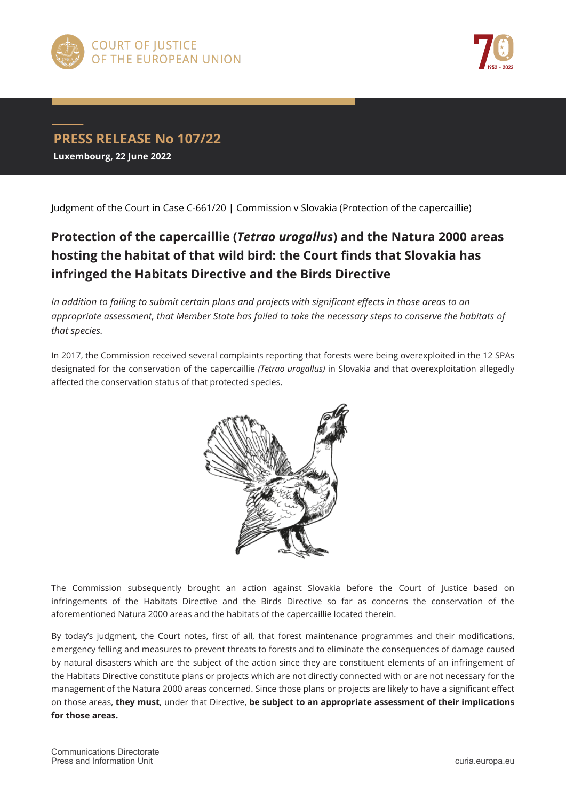



## **PRESS RELEASE No 107/22 Luxembourg, 22 June 2022**

Judgment of the Court in Case C-661/20 | Commission v Slovakia (Protection of the capercaillie)

## **Protection of the capercaillie (***Tetrao urogallus***) and the Natura 2000 areas hosting the habitat of that wild bird: the Court finds that Slovakia has infringed the Habitats Directive and the Birds Directive**

*In addition to failing to submit certain plans and projects with significant effects in those areas to an appropriate assessment, that Member State has failed to take the necessary steps to conserve the habitats of that species.* 

In 2017, the Commission received several complaints reporting that forests were being overexploited in the 12 SPAs designated for the conservation of the capercaillie *(Tetrao urogallus)* in Slovakia and that overexploitation allegedly affected the conservation status of that protected species.



The Commission subsequently brought an action against Slovakia before the Court of Justice based on infringements of the Habitats Directive and the Birds Directive so far as concerns the conservation of the aforementioned Natura 2000 areas and the habitats of the capercaillie located therein.

By today's judgment, the Court notes, first of all, that forest maintenance programmes and their modifications, emergency felling and measures to prevent threats to forests and to eliminate the consequences of damage caused by natural disasters which are the subject of the action since they are constituent elements of an infringement of the Habitats Directive constitute plans or projects which are not directly connected with or are not necessary for the management of the Natura 2000 areas concerned. Since those plans or projects are likely to have a significant effect on those areas, **they must**, under that Directive, **be subject to an appropriate assessment of their implications for those areas.**